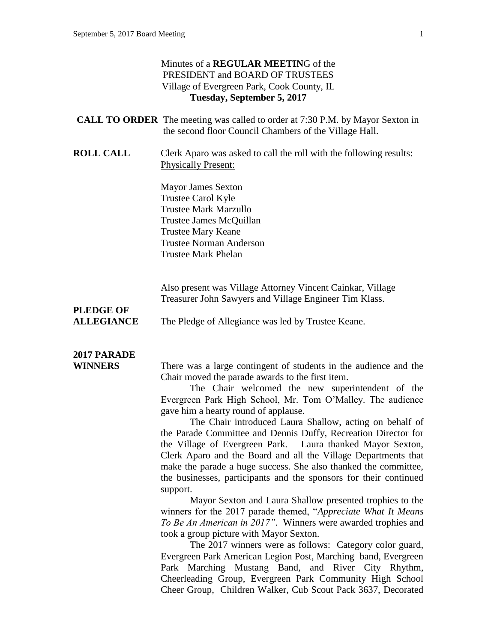### Minutes of a **REGULAR MEETIN**G of the PRESIDENT and BOARD OF TRUSTEES Village of Evergreen Park, Cook County, IL **Tuesday, September 5, 2017 CALL TO ORDER** The meeting was called to order at 7:30 P.M. by Mayor Sexton in the second floor Council Chambers of the Village Hall. **ROLL CALL** Clerk Aparo was asked to call the roll with the following results: Physically Present: Mayor James Sexton Trustee Carol Kyle Trustee Mark Marzullo Trustee James McQuillan Trustee Mary Keane Trustee Norman Anderson Trustee Mark Phelan Also present was Village Attorney Vincent Cainkar, Village Treasurer John Sawyers and Village Engineer Tim Klass. **PLEDGE OF ALLEGIANCE** The Pledge of Allegiance was led by Trustee Keane. **2017 PARADE WINNERS** There was a large contingent of students in the audience and the Chair moved the parade awards to the first item. The Chair welcomed the new superintendent of the Evergreen Park High School, Mr. Tom O'Malley. The audience gave him a hearty round of applause. The Chair introduced Laura Shallow, acting on behalf of the Parade Committee and Dennis Duffy, Recreation Director for the Village of Evergreen Park. Laura thanked Mayor Sexton, Clerk Aparo and the Board and all the Village Departments that make the parade a huge success. She also thanked the committee, the businesses, participants and the sponsors for their continued support. Mayor Sexton and Laura Shallow presented trophies to the winners for the 2017 parade themed, "*Appreciate What It Means To Be An American in 2017"*. Winners were awarded trophies and took a group picture with Mayor Sexton. The 2017 winners were as follows: Category color guard, Evergreen Park American Legion Post, Marching band, Evergreen Park Marching Mustang Band, and River City Rhythm, Cheerleading Group, Evergreen Park Community High School Cheer Group, Children Walker, Cub Scout Pack 3637, Decorated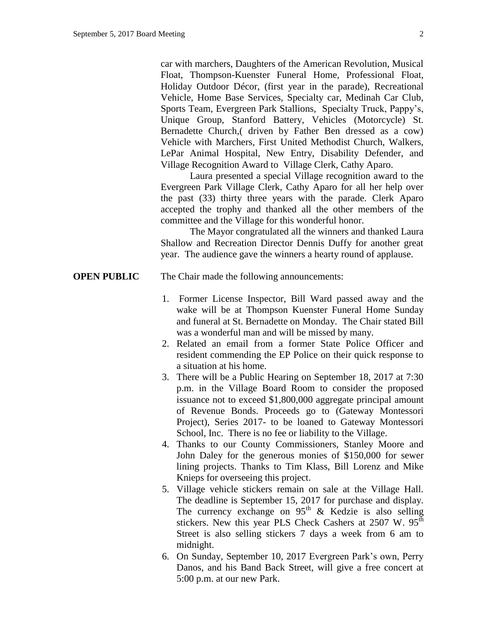car with marchers, Daughters of the American Revolution, Musical Float, Thompson-Kuenster Funeral Home, Professional Float, Holiday Outdoor Décor, (first year in the parade), Recreational Vehicle, Home Base Services, Specialty car, Medinah Car Club, Sports Team, Evergreen Park Stallions, Specialty Truck, Pappy's, Unique Group, Stanford Battery, Vehicles (Motorcycle) St. Bernadette Church,( driven by Father Ben dressed as a cow) Vehicle with Marchers, First United Methodist Church, Walkers, LePar Animal Hospital, New Entry, Disability Defender, and Village Recognition Award to Village Clerk, Cathy Aparo.

Laura presented a special Village recognition award to the Evergreen Park Village Clerk, Cathy Aparo for all her help over the past (33) thirty three years with the parade. Clerk Aparo accepted the trophy and thanked all the other members of the committee and the Village for this wonderful honor.

The Mayor congratulated all the winners and thanked Laura Shallow and Recreation Director Dennis Duffy for another great year. The audience gave the winners a hearty round of applause.

- **OPEN PUBLIC** The Chair made the following announcements:
	- 1. Former License Inspector, Bill Ward passed away and the wake will be at Thompson Kuenster Funeral Home Sunday and funeral at St. Bernadette on Monday. The Chair stated Bill was a wonderful man and will be missed by many.
	- 2. Related an email from a former State Police Officer and resident commending the EP Police on their quick response to a situation at his home.
	- 3. There will be a Public Hearing on September 18, 2017 at 7:30 p.m. in the Village Board Room to consider the proposed issuance not to exceed \$1,800,000 aggregate principal amount of Revenue Bonds. Proceeds go to (Gateway Montessori Project), Series 2017- to be loaned to Gateway Montessori School, Inc. There is no fee or liability to the Village.
	- 4. Thanks to our County Commissioners, Stanley Moore and John Daley for the generous monies of \$150,000 for sewer lining projects. Thanks to Tim Klass, Bill Lorenz and Mike Knieps for overseeing this project.
	- 5. Village vehicle stickers remain on sale at the Village Hall. The deadline is September 15, 2017 for purchase and display. The currency exchange on  $95<sup>th</sup>$  & Kedzie is also selling stickers. New this year PLS Check Cashers at  $2507$  W.  $95<sup>th</sup>$ Street is also selling stickers 7 days a week from 6 am to midnight.
	- 6. On Sunday, September 10, 2017 Evergreen Park's own, Perry Danos, and his Band Back Street, will give a free concert at 5:00 p.m. at our new Park.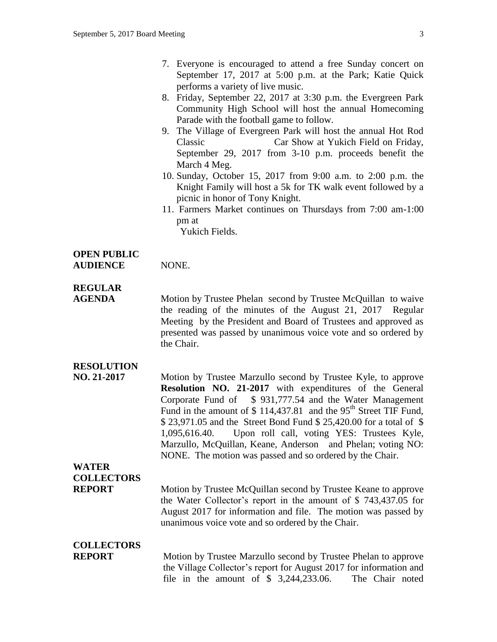- 7. Everyone is encouraged to attend a free Sunday concert on September 17, 2017 at 5:00 p.m. at the Park; Katie Quick performs a variety of live music.
- 8. Friday, September 22, 2017 at 3:30 p.m. the Evergreen Park Community High School will host the annual Homecoming Parade with the football game to follow.
- 9. The Village of Evergreen Park will host the annual Hot Rod Classic Car Show at Yukich Field on Friday, September 29, 2017 from 3-10 p.m. proceeds benefit the March 4 Meg.
- 10. Sunday, October 15, 2017 from 9:00 a.m. to 2:00 p.m. the Knight Family will host a 5k for TK walk event followed by a picnic in honor of Tony Knight.
- 11. Farmers Market continues on Thursdays from 7:00 am-1:00 pm at

Yukich Fields.

### **OPEN PUBLIC**

**AUDIENCE** NONE.

### **REGULAR**

**AGENDA** Motion by Trustee Phelan second by Trustee McQuillan to waive the reading of the minutes of the August 21, 2017 Regular Meeting by the President and Board of Trustees and approved as presented was passed by unanimous voice vote and so ordered by the Chair.

### **RESOLUTION**

**NO. 21-2017** Motion by Trustee Marzullo second by Trustee Kyle, to approve **Resolution NO. 21-2017** with expenditures of the General Corporate Fund of \$ 931,777.54 and the Water Management Fund in the amount of  $$114,437.81$  and the 95<sup>th</sup> Street TIF Fund, \$ 23,971.05 and the Street Bond Fund \$ 25,420.00 for a total of \$ 1,095,616.40. Upon roll call, voting YES: Trustees Kyle, Marzullo, McQuillan, Keane, Anderson and Phelan; voting NO: NONE. The motion was passed and so ordered by the Chair.

**WATER COLLECTORS**

**REPORT** Motion by Trustee McQuillan second by Trustee Keane to approve the Water Collector's report in the amount of \$ 743,437.05 for August 2017 for information and file. The motion was passed by unanimous voice vote and so ordered by the Chair.

# **COLLECTORS**

**REPORT** Motion by Trustee Marzullo second by Trustee Phelan to approve the Village Collector's report for August 2017 for information and file in the amount of \$ 3,244,233.06. The Chair noted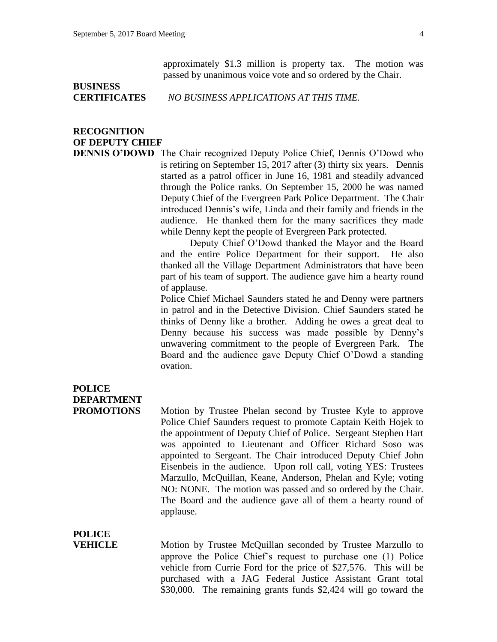approximately \$1.3 million is property tax. The motion was passed by unanimous voice vote and so ordered by the Chair.

# **BUSINESS**

**CERTIFICATES** *NO BUSINESS APPLICATIONS AT THIS TIME.*

## **RECOGNITION OF DEPUTY CHIEF**

**DENNIS O'DOWD** The Chair recognized Deputy Police Chief, Dennis O'Dowd who is retiring on September 15, 2017 after (3) thirty six years. Dennis started as a patrol officer in June 16, 1981 and steadily advanced through the Police ranks. On September 15, 2000 he was named Deputy Chief of the Evergreen Park Police Department. The Chair introduced Dennis's wife, Linda and their family and friends in the audience. He thanked them for the many sacrifices they made while Denny kept the people of Evergreen Park protected.

> Deputy Chief O'Dowd thanked the Mayor and the Board and the entire Police Department for their support. He also thanked all the Village Department Administrators that have been part of his team of support. The audience gave him a hearty round of applause.

> Police Chief Michael Saunders stated he and Denny were partners in patrol and in the Detective Division. Chief Saunders stated he thinks of Denny like a brother. Adding he owes a great deal to Denny because his success was made possible by Denny's unwavering commitment to the people of Evergreen Park. The Board and the audience gave Deputy Chief O'Dowd a standing ovation.

## **POLICE DEPARTMENT**

**PROMOTIONS** Motion by Trustee Phelan second by Trustee Kyle to approve Police Chief Saunders request to promote Captain Keith Hojek to the appointment of Deputy Chief of Police. Sergeant Stephen Hart was appointed to Lieutenant and Officer Richard Soso was appointed to Sergeant. The Chair introduced Deputy Chief John Eisenbeis in the audience. Upon roll call, voting YES: Trustees Marzullo, McQuillan, Keane, Anderson, Phelan and Kyle; voting NO: NONE. The motion was passed and so ordered by the Chair. The Board and the audience gave all of them a hearty round of applause.

**POLICE**

**VEHICLE** Motion by Trustee McQuillan seconded by Trustee Marzullo to approve the Police Chief's request to purchase one (1) Police vehicle from Currie Ford for the price of \$27,576. This will be purchased with a JAG Federal Justice Assistant Grant total \$30,000. The remaining grants funds \$2,424 will go toward the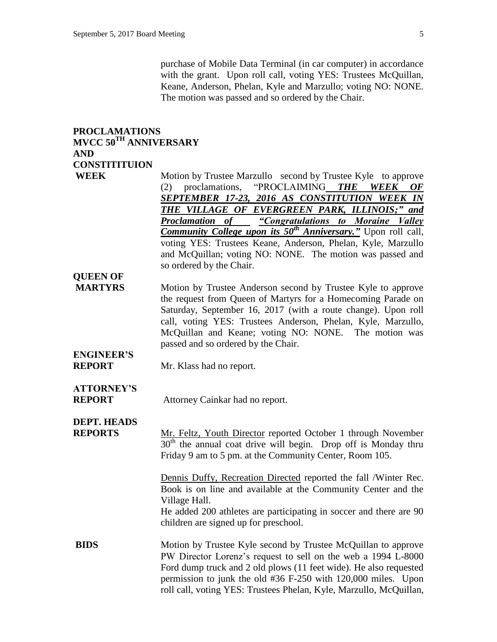purchase of Mobile Data Terminal (in car computer) in accordance with the grant. Upon roll call, voting YES: Trustees McQuillan, Keane, Anderson, Phelan, Kyle and Marzullo; voting NO: NONE. The motion was passed and so ordered by the Chair.

#### **PROCLAMATIONS MVCC 50TH ANNIVERSARY AND CONSTITITUION**

**WEEK** Motion by Trustee Marzullo second by Trustee Kyle to approve (2) proclamations, "PROCLAIMING *THE WEEK OF SEPTEMBER 17-23, 2016 AS CONSTITUTION WEEK IN THE VILLAGE OF EVERGREEN PARK, ILLINOIS;" and Proclamation of "Congratulations to Moraine Valley Community College upon its 50th Anniversary."* Upon roll call, voting YES: Trustees Keane, Anderson, Phelan, Kyle, Marzullo and McQuillan; voting NO: NONE. The motion was passed and so ordered by the Chair.

## **QUEEN OF**

**MARTYRS** Motion by Trustee Anderson second by Trustee Kyle to approve the request from Queen of Martyrs for a Homecoming Parade on Saturday, September 16, 2017 (with a route change). Upon roll call, voting YES: Trustees Anderson, Phelan, Kyle, Marzullo, McQuillan and Keane; voting NO: NONE. The motion was passed and so ordered by the Chair.

# **ENGINEER'S**

**REPORT** Mr. Klass had no report.

# **ATTORNEY'S**

**REPORT** Attorney Cainkar had no report.

### **DEPT. HEADS**

**REPORTS** Mr. Feltz, Youth Director reported October 1 through November  $30<sup>th</sup>$  the annual coat drive will begin. Drop off is Monday thru Friday 9 am to 5 pm. at the Community Center, Room 105.

> Dennis Duffy, Recreation Directed reported the fall /Winter Rec. Book is on line and available at the Community Center and the Village Hall.

> He added 200 athletes are participating in soccer and there are 90 children are signed up for preschool.

**BIDS** Motion by Trustee Kyle second by Trustee McQuillan to approve PW Director Lorenz's request to sell on the web a 1994 L-8000 Ford dump truck and 2 old plows (11 feet wide). He also requested permission to junk the old #36 F-250 with 120,000 miles. Upon roll call, voting YES: Trustees Phelan, Kyle, Marzullo, McQuillan,